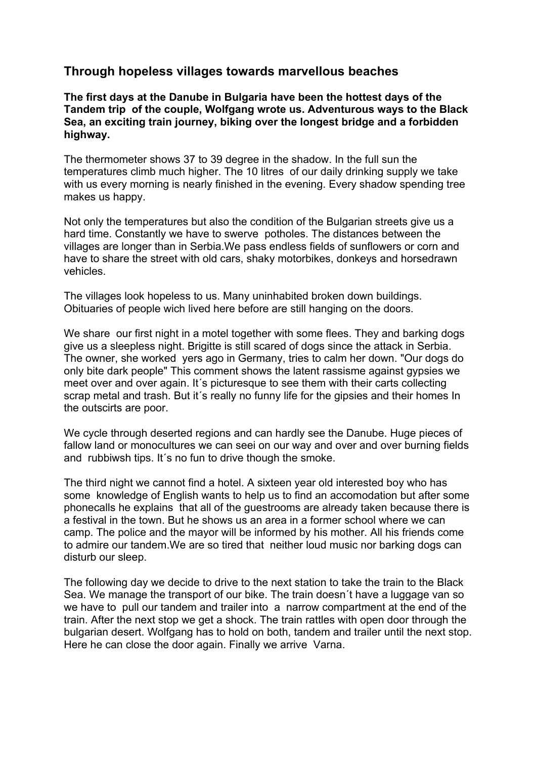## **Through hopeless villages towards marvellous beaches**

**The first days at the Danube in Bulgaria have been the hottest days of the Tandem trip of the couple, Wolfgang wrote us. Adventurous ways to the Black Sea, an exciting train journey, biking over the longest bridge and a forbidden highway.**

The thermometer shows 37 to 39 degree in the shadow. In the full sun the temperatures climb much higher. The 10 litres of our daily drinking supply we take with us every morning is nearly finished in the evening. Every shadow spending tree makes us happy.

Not only the temperatures but also the condition of the Bulgarian streets give us a hard time. Constantly we have to swerve potholes. The distances between the villages are longer than in Serbia.We pass endless fields of sunflowers or corn and have to share the street with old cars, shaky motorbikes, donkeys and horsedrawn vehicles.

The villages look hopeless to us. Many uninhabited broken down buildings. Obituaries of people wich lived here before are still hanging on the doors.

We share our first night in a motel together with some flees. They and barking dogs give us a sleepless night. Brigitte is still scared of dogs since the attack in Serbia. The owner, she worked yers ago in Germany, tries to calm her down. "Our dogs do only bite dark people" This comment shows the latent rassisme against gypsies we meet over and over again. It´s picturesque to see them with their carts collecting scrap metal and trash. But it's really no funny life for the gipsies and their homes In the outscirts are poor.

We cycle through deserted regions and can hardly see the Danube. Huge pieces of fallow land or monocultures we can seei on our way and over and over burning fields and rubbiwsh tips. It´s no fun to drive though the smoke.

The third night we cannot find a hotel. A sixteen year old interested boy who has some knowledge of English wants to help us to find an accomodation but after some phonecalls he explains that all of the guestrooms are already taken because there is a festival in the town. But he shows us an area in a former school where we can camp. The police and the mayor will be informed by his mother. All his friends come to admire our tandem.We are so tired that neither loud music nor barking dogs can disturb our sleep.

The following day we decide to drive to the next station to take the train to the Black Sea. We manage the transport of our bike. The train doesn´t have a luggage van so we have to pull our tandem and trailer into a narrow compartment at the end of the train. After the next stop we get a shock. The train rattles with open door through the bulgarian desert. Wolfgang has to hold on both, tandem and trailer until the next stop. Here he can close the door again. Finally we arrive Varna.